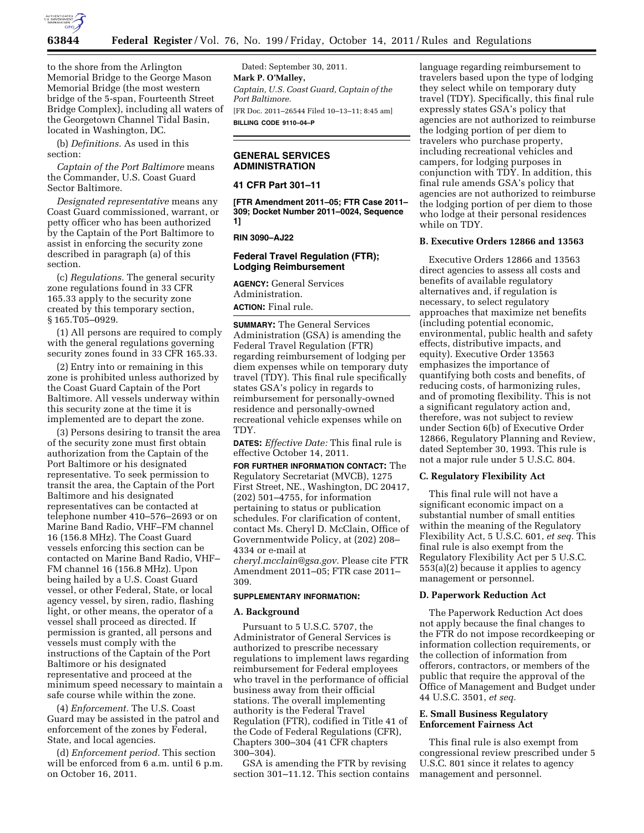

to the shore from the Arlington Memorial Bridge to the George Mason Memorial Bridge (the most western bridge of the 5-span, Fourteenth Street Bridge Complex), including all waters of the Georgetown Channel Tidal Basin, located in Washington, DC.

(b) *Definitions.* As used in this section:

*Captain of the Port Baltimore* means the Commander, U.S. Coast Guard Sector Baltimore.

*Designated representative* means any Coast Guard commissioned, warrant, or petty officer who has been authorized by the Captain of the Port Baltimore to assist in enforcing the security zone described in paragraph (a) of this section.

(c) *Regulations.* The general security zone regulations found in 33 CFR 165.33 apply to the security zone created by this temporary section, § 165.T05–0929.

(1) All persons are required to comply with the general regulations governing security zones found in 33 CFR 165.33.

(2) Entry into or remaining in this zone is prohibited unless authorized by the Coast Guard Captain of the Port Baltimore. All vessels underway within this security zone at the time it is implemented are to depart the zone.

(3) Persons desiring to transit the area of the security zone must first obtain authorization from the Captain of the Port Baltimore or his designated representative. To seek permission to transit the area, the Captain of the Port Baltimore and his designated representatives can be contacted at telephone number 410–576–2693 or on Marine Band Radio, VHF–FM channel 16 (156.8 MHz). The Coast Guard vessels enforcing this section can be contacted on Marine Band Radio, VHF– FM channel 16 (156.8 MHz). Upon being hailed by a U.S. Coast Guard vessel, or other Federal, State, or local agency vessel, by siren, radio, flashing light, or other means, the operator of a vessel shall proceed as directed. If permission is granted, all persons and vessels must comply with the instructions of the Captain of the Port Baltimore or his designated representative and proceed at the minimum speed necessary to maintain a safe course while within the zone.

(4) *Enforcement.* The U.S. Coast Guard may be assisted in the patrol and enforcement of the zones by Federal, State, and local agencies.

(d) *Enforcement period.* This section will be enforced from 6 a.m. until 6 p.m. on October 16, 2011.

Dated: September 30, 2011. **Mark P. O'Malley,**  *Captain, U.S. Coast Guard, Captain of the Port Baltimore.*  [FR Doc. 2011–26544 Filed 10–13–11; 8:45 am] **BILLING CODE 9110–04–P** 

# **GENERAL SERVICES ADMINISTRATION**

#### **41 CFR Part 301–11**

**[FTR Amendment 2011–05; FTR Case 2011– 309; Docket Number 2011–0024, Sequence 1]** 

# **RIN 3090–AJ22**

## **Federal Travel Regulation (FTR); Lodging Reimbursement**

**AGENCY:** General Services Administration. **ACTION:** Final rule.

**SUMMARY:** The General Services Administration (GSA) is amending the Federal Travel Regulation (FTR) regarding reimbursement of lodging per diem expenses while on temporary duty travel (TDY). This final rule specifically states GSA's policy in regards to reimbursement for personally-owned residence and personally-owned recreational vehicle expenses while on TDY.

**DATES:** *Effective Date:* This final rule is effective October 14, 2011.

**FOR FURTHER INFORMATION CONTACT:** The Regulatory Secretariat (MVCB), 1275 First Street, NE., Washington, DC 20417, (202) 501–4755, for information pertaining to status or publication schedules. For clarification of content, contact Ms. Cheryl D. McClain, Office of Governmentwide Policy, at (202) 208– 4334 or e-mail at *[cheryl.mcclain@gsa.gov.](mailto:cheryl.mcclain@gsa.gov)* Please cite FTR

Amendment 2011–05; FTR case 2011– 309.

## **SUPPLEMENTARY INFORMATION:**

#### **A. Background**

Pursuant to 5 U.S.C. 5707, the Administrator of General Services is authorized to prescribe necessary regulations to implement laws regarding reimbursement for Federal employees who travel in the performance of official business away from their official stations. The overall implementing authority is the Federal Travel Regulation (FTR), codified in Title 41 of the Code of Federal Regulations (CFR), Chapters 300–304 (41 CFR chapters 300–304).

GSA is amending the FTR by revising section 301–11.12. This section contains

language regarding reimbursement to travelers based upon the type of lodging they select while on temporary duty travel (TDY). Specifically, this final rule expressly states GSA's policy that agencies are not authorized to reimburse the lodging portion of per diem to travelers who purchase property, including recreational vehicles and campers, for lodging purposes in conjunction with TDY. In addition, this final rule amends GSA's policy that agencies are not authorized to reimburse the lodging portion of per diem to those who lodge at their personal residences while on TDY.

# **B. Executive Orders 12866 and 13563**

Executive Orders 12866 and 13563 direct agencies to assess all costs and benefits of available regulatory alternatives and, if regulation is necessary, to select regulatory approaches that maximize net benefits (including potential economic, environmental, public health and safety effects, distributive impacts, and equity). Executive Order 13563 emphasizes the importance of quantifying both costs and benefits, of reducing costs, of harmonizing rules, and of promoting flexibility. This is not a significant regulatory action and, therefore, was not subject to review under Section 6(b) of Executive Order 12866, Regulatory Planning and Review, dated September 30, 1993. This rule is not a major rule under 5 U.S.C. 804.

#### **C. Regulatory Flexibility Act**

This final rule will not have a significant economic impact on a substantial number of small entities within the meaning of the Regulatory Flexibility Act, 5 U.S.C. 601, *et seq.* This final rule is also exempt from the Regulatory Flexibility Act per 5 U.S.C. 553(a)(2) because it applies to agency management or personnel.

## **D. Paperwork Reduction Act**

The Paperwork Reduction Act does not apply because the final changes to the FTR do not impose recordkeeping or information collection requirements, or the collection of information from offerors, contractors, or members of the public that require the approval of the Office of Management and Budget under 44 U.S.C. 3501, *et seq.* 

## **E. Small Business Regulatory Enforcement Fairness Act**

This final rule is also exempt from congressional review prescribed under 5 U.S.C. 801 since it relates to agency management and personnel.